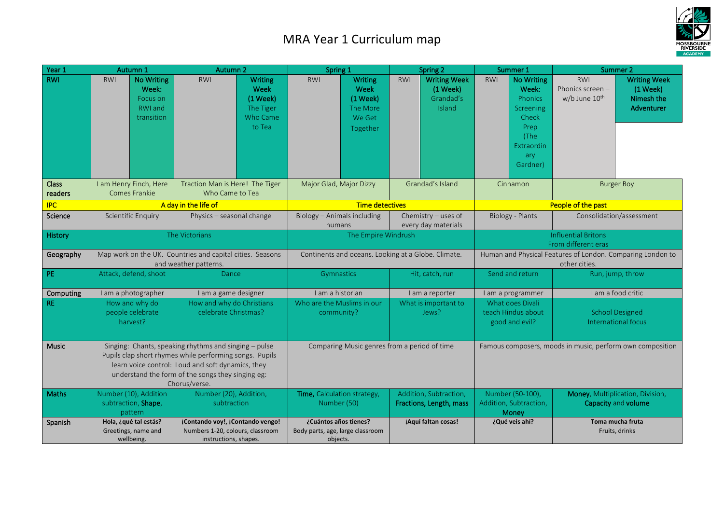## MRA Year 1 Curriculum map



| Year 1                  | Autumn 1                                                                                                                                                                                                                                    | Autumn 2                                                                                      | Spring 1                                                                      | Spring 2                                                             | Summer 1                                                                                                                          | Summer 2                                                                                                                   |  |
|-------------------------|---------------------------------------------------------------------------------------------------------------------------------------------------------------------------------------------------------------------------------------------|-----------------------------------------------------------------------------------------------|-------------------------------------------------------------------------------|----------------------------------------------------------------------|-----------------------------------------------------------------------------------------------------------------------------------|----------------------------------------------------------------------------------------------------------------------------|--|
| <b>RWI</b>              | <b>No Writing</b><br><b>RWI</b><br>Week:<br>Focus on<br><b>RWI</b> and<br>transition                                                                                                                                                        | <b>RWI</b><br>Writing<br>Week<br>$(1$ Week)<br>The Tiger<br>Who Came<br>to Tea                | Writing<br><b>RWI</b><br>Week<br>$(1$ Week)<br>The More<br>We Get<br>Together | <b>Writing Week</b><br><b>RWI</b><br>(1 Week)<br>Grandad's<br>Island | <b>No Writing</b><br><b>RWI</b><br>Week:<br><b>Phonics</b><br>Screening<br>Check<br>Prep<br>(The<br>Extraordin<br>ary<br>Gardner) | <b>RWI</b><br><b>Writing Week</b><br>Phonics screen -<br>(1 Week)<br>Nimesh the<br>w/b June 10 <sup>th</sup><br>Adventurer |  |
| <b>Class</b><br>readers | I am Henry Finch, Here<br><b>Comes Frankie</b>                                                                                                                                                                                              | Traction Man is Here! The Tiger<br>Who Came to Tea                                            | Major Glad, Major Dizzy                                                       | Grandad's Island                                                     | Cinnamon                                                                                                                          | <b>Burger Boy</b>                                                                                                          |  |
| <b>IPC</b>              | A day in the life of                                                                                                                                                                                                                        |                                                                                               | <b>Time detectives</b>                                                        |                                                                      | People of the past                                                                                                                |                                                                                                                            |  |
| Science                 | <b>Scientific Enquiry</b>                                                                                                                                                                                                                   | Physics - seasonal change                                                                     | Biology - Animals including<br>humans                                         | Chemistry - uses of<br>every day materials                           | Biology - Plants                                                                                                                  | Consolidation/assessment                                                                                                   |  |
| History                 | The Victorians                                                                                                                                                                                                                              |                                                                                               | The Empire Windrush                                                           |                                                                      | <b>Influential Britons</b><br>From different eras                                                                                 |                                                                                                                            |  |
| Geography               | Map work on the UK. Countries and capital cities. Seasons<br>and weather patterns.                                                                                                                                                          |                                                                                               | Continents and oceans. Looking at a Globe. Climate.                           |                                                                      | Human and Physical Features of London. Comparing London to<br>other cities.                                                       |                                                                                                                            |  |
| PE                      | Attack, defend, shoot                                                                                                                                                                                                                       | Dance                                                                                         | Gymnastics                                                                    | Hit, catch, run                                                      | Send and return                                                                                                                   | Run, jump, throw                                                                                                           |  |
| Computing               | I am a photographer                                                                                                                                                                                                                         | I am a game designer                                                                          | I am a historian                                                              | I am a reporter                                                      | I am a programmer                                                                                                                 | I am a food critic                                                                                                         |  |
| <b>RE</b>               | How and why do<br>people celebrate<br>harvest?                                                                                                                                                                                              | How and why do Christians<br>celebrate Christmas?                                             | Who are the Muslims in our<br>community?                                      | What is important to<br>Jews?                                        | What does Divali<br>teach Hindus about<br>good and evil?                                                                          | <b>School Designed</b><br>International focus                                                                              |  |
| <b>Music</b>            | Singing: Chants, speaking rhythms and singing - pulse<br>Pupils clap short rhymes while performing songs. Pupils<br>learn voice control: Loud and soft dynamics, they<br>understand the form of the songs they singing eg:<br>Chorus/verse. |                                                                                               | Comparing Music genres from a period of time                                  |                                                                      | Famous composers, moods in music, perform own composition                                                                         |                                                                                                                            |  |
| <b>Maths</b>            | Number (10), Addition<br>subtraction, Shape,<br>pattern                                                                                                                                                                                     | Number (20), Addition,<br>subtraction                                                         | Time, Calculation strategy,<br>Number (50)                                    | Addition, Subtraction,<br>Fractions, Length, mass                    | Number (50-100),<br>Addition, Subtraction,<br>Money                                                                               | Money, Multiplication, Division,<br>Capacity and volume                                                                    |  |
| Spanish                 | Hola, ¿qué tal estás?<br>Greetings, name and<br>wellbeing.                                                                                                                                                                                  | ¡Contando voy!, ¡Contando vengo!<br>Numbers 1-20, colours, classroom<br>instructions, shapes. | ¿Cuántos años tienes?<br>Body parts, age, large classroom<br>objects.         | ¡Aquí faltan cosas!                                                  | ¿Qué veis ahí?                                                                                                                    | Toma mucha fruta<br>Fruits, drinks                                                                                         |  |